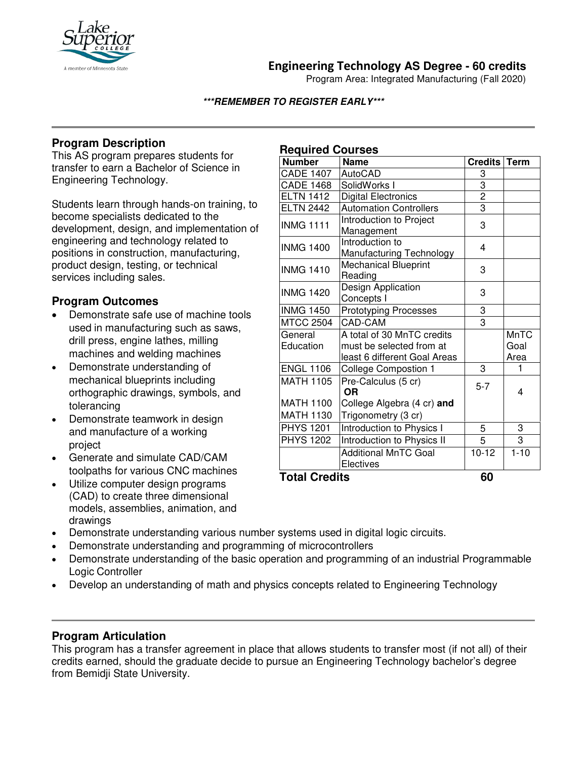

**Engineering Technology AS Degree - 60 credits**

Program Area: Integrated Manufacturing (Fall 2020)

#### **\*\*\*REMEMBER TO REGISTER EARLY\*\*\***

## **Program Description**

This AS program prepares students for transfer to earn a Bachelor of Science in Engineering Technology.

Students learn through hands-on training, to become specialists dedicated to the development, design, and implementation of engineering and technology related to positions in construction, manufacturing, product design, testing, or technical services including sales.

## **Program Outcomes**

- Demonstrate safe use of machine tools used in manufacturing such as saws, drill press, engine lathes, milling machines and welding machines
- Demonstrate understanding of mechanical blueprints including orthographic drawings, symbols, and tolerancing
- Demonstrate teamwork in design and manufacture of a working project
- Generate and simulate CAD/CAM toolpaths for various CNC machines
- Utilize computer design programs (CAD) to create three dimensional models, assemblies, animation, and drawings

## **Required Courses**

| .<br><b>Number</b>   | <br><b>Name</b>                             | Credits        | <b>Term</b> |
|----------------------|---------------------------------------------|----------------|-------------|
| <b>CADE 1407</b>     | <b>AutoCAD</b>                              | $\overline{3}$ |             |
| <b>CADE 1468</b>     | SolidWorks I                                | 3              |             |
| <b>ELTN 1412</b>     | <b>Digital Electronics</b>                  | $\overline{2}$ |             |
| <b>ELTN 2442</b>     | <b>Automation Controllers</b>               | $\overline{3}$ |             |
| <b>INMG 1111</b>     | Introduction to Project<br>Management       | 3              |             |
| <b>INMG 1400</b>     | Introduction to<br>Manufacturing Technology | 4              |             |
| <b>INMG 1410</b>     | <b>Mechanical Blueprint</b><br>Reading      | 3              |             |
| <b>INMG 1420</b>     | Design Application<br>Concepts I            | 3              |             |
| <b>INMG 1450</b>     | <b>Prototyping Processes</b>                | 3              |             |
| <b>MTCC 2504</b>     | CAD-CAM                                     | 3              |             |
| General              | A total of 30 MnTC credits                  |                | <b>MnTC</b> |
| Education            | must be selected from at                    |                | Goal        |
|                      | least 6 different Goal Areas                |                | Area        |
| <b>ENGL 1106</b>     | <b>College Compostion 1</b>                 | 3              | 1           |
| <b>MATH 1105</b>     | Pre-Calculus (5 cr)<br><b>OR</b>            | $5 - 7$        | 4           |
| <b>MATH 1100</b>     | College Algebra (4 cr) and                  |                |             |
| <b>MATH 1130</b>     | Trigonometry (3 cr)                         |                |             |
| <b>PHYS 1201</b>     | Introduction to Physics I                   | 5              | 3           |
| <b>PHYS 1202</b>     | <b>Introduction to Physics II</b>           | 5              | 3           |
|                      | <b>Additional MnTC Goal</b><br>Electives    | $10-12$        | $1 - 10$    |
| <b>Total Credits</b> |                                             | 60             |             |

**Total Credits 60**

- Demonstrate understanding various number systems used in digital logic circuits.
- Demonstrate understanding and programming of microcontrollers
- Demonstrate understanding of the basic operation and programming of an industrial Programmable Logic Controller
- Develop an understanding of math and physics concepts related to Engineering Technology

## **Program Articulation**

This program has a transfer agreement in place that allows students to transfer most (if not all) of their credits earned, should the graduate decide to pursue an Engineering Technology bachelor's degree from Bemidji State University.